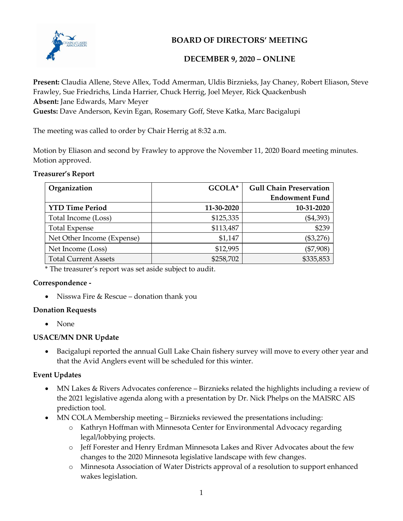

**BOARD OF DIRECTORS' MEETING**

# **DECEMBER 9, 2020 – ONLINE**

**Present:** Claudia Allene, Steve Allex, Todd Amerman, Uldis Birznieks, Jay Chaney, Robert Eliason, Steve Frawley, Sue Friedrichs, Linda Harrier, Chuck Herrig, Joel Meyer, Rick Quackenbush **Absent:** Jane Edwards, Marv Meyer

**Guests:** Dave Anderson, Kevin Egan, Rosemary Goff, Steve Katka, Marc Bacigalupi

The meeting was called to order by Chair Herrig at 8:32 a.m.

Motion by Eliason and second by Frawley to approve the November 11, 2020 Board meeting minutes. Motion approved.

| <b>Treasurer's Report</b> |
|---------------------------|
|---------------------------|

| Organization                | GCOLA*     | <b>Gull Chain Preservation</b> |
|-----------------------------|------------|--------------------------------|
|                             |            | <b>Endowment Fund</b>          |
| <b>YTD Time Period</b>      | 11-30-2020 | 10-31-2020                     |
| Total Income (Loss)         | \$125,335  | $(\$4,393)$                    |
| <b>Total Expense</b>        | \$113,487  | \$239                          |
| Net Other Income (Expense)  | \$1,147    | $(\$3,276)$                    |
| Net Income (Loss)           | \$12,995   | $(\$7,908)$                    |
| <b>Total Current Assets</b> | \$258,702  | \$335,853                      |

\* The treasurer's report was set aside subject to audit.

## **Correspondence -**

• Nisswa Fire & Rescue – donation thank you

## **Donation Requests**

• None

## **USACE/MN DNR Update**

 Bacigalupi reported the annual Gull Lake Chain fishery survey will move to every other year and that the Avid Anglers event will be scheduled for this winter.

## **Event Updates**

- MN Lakes & Rivers Advocates conference Birznieks related the highlights including a review of the 2021 legislative agenda along with a presentation by Dr. Nick Phelps on the MAISRC AIS prediction tool.
- MN COLA Membership meeting Birznieks reviewed the presentations including:
	- o Kathryn Hoffman with Minnesota Center for Environmental Advocacy regarding legal/lobbying projects.
	- o Jeff Forester and Henry Erdman Minnesota Lakes and River Advocates about the few changes to the 2020 Minnesota legislative landscape with few changes.
	- o Minnesota Association of Water Districts approval of a resolution to support enhanced wakes legislation.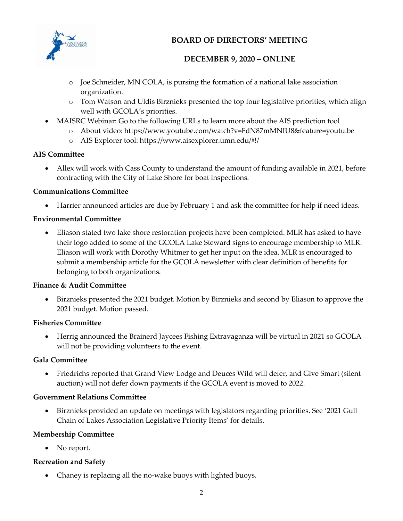

# **BOARD OF DIRECTORS' MEETING**

## **DECEMBER 9, 2020 – ONLINE**

- o Joe Schneider, MN COLA, is pursing the formation of a national lake association organization.
- o Tom Watson and Uldis Birznieks presented the top four legislative priorities, which align well with GCOLA's priorities.
- MAISRC Webinar: Go to the following URLs to learn more about the AIS prediction tool
	- o About video: https://www.youtube.com/watch?v=FdN87mMNIU8&feature=youtu.be
	- o AIS Explorer tool: https://www.aisexplorer.umn.edu/#!/

## **AIS Committee**

 Allex will work with Cass County to understand the amount of funding available in 2021, before contracting with the City of Lake Shore for boat inspections.

## **Communications Committee**

Harrier announced articles are due by February 1 and ask the committee for help if need ideas.

## **Environmental Committee**

 Eliason stated two lake shore restoration projects have been completed. MLR has asked to have their logo added to some of the GCOLA Lake Steward signs to encourage membership to MLR. Eliason will work with Dorothy Whitmer to get her input on the idea. MLR is encouraged to submit a membership article for the GCOLA newsletter with clear definition of benefits for belonging to both organizations.

## **Finance & Audit Committee**

 Birznieks presented the 2021 budget. Motion by Birznieks and second by Eliason to approve the 2021 budget. Motion passed.

## **Fisheries Committee**

 Herrig announced the Brainerd Jaycees Fishing Extravaganza will be virtual in 2021 so GCOLA will not be providing volunteers to the event.

## **Gala Committee**

 Friedrichs reported that Grand View Lodge and Deuces Wild will defer, and Give Smart (silent auction) will not defer down payments if the GCOLA event is moved to 2022.

## **Government Relations Committee**

 Birznieks provided an update on meetings with legislators regarding priorities. See '2021 Gull Chain of Lakes Association Legislative Priority Items' for details.

## **Membership Committee**

• No report.

## **Recreation and Safety**

• Chaney is replacing all the no-wake buoys with lighted buoys.